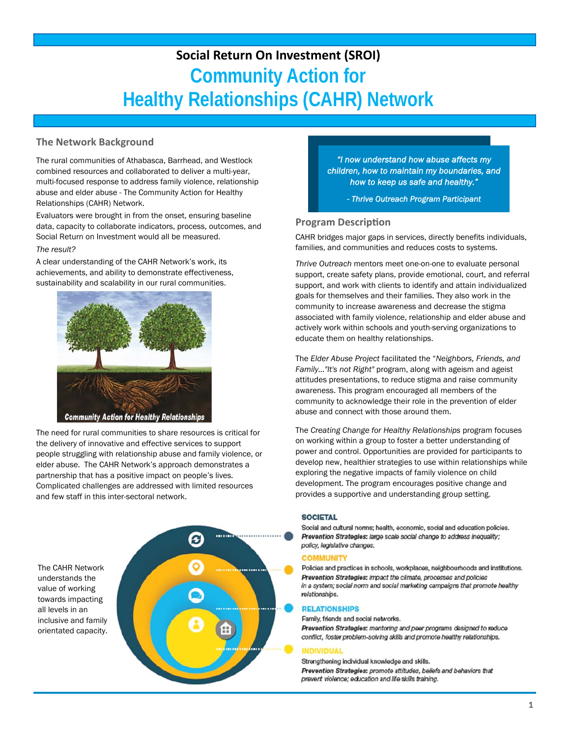# **Social Return On Investment (SROI) Community Action for Healthy Relationships (CAHR) Network**

## **The Network Background**

The rural communities of Athabasca, Barrhead, and Westlock combined resources and collaborated to deliver a multi-year, multi-focused response to address family violence, relationship abuse and elder abuse - The Community Action for Healthy Relationships (CAHR) Network.

Evaluators were brought in from the onset, ensuring baseline data, capacity to collaborate indicators, process, outcomes, and Social Return on Investment would all be measured.

### *The result?*

֦

A clear understanding of the CAHR Network's work, its achievements, and ability to demonstrate effectiveness, sustainability and scalability in our rural communities.



The need for rural communities to share resources is critical for the delivery of innovative and effective services to support people struggling with relationship abuse and family violence, or elder abuse. The CAHR Network's approach demonstrates a partnership that has a positive impact on people's lives. Complicated challenges are addressed with limited resources and few staff in this inter-sectoral network.

The CAHR Network understands the value of working towards impacting all levels in an inclusive and family orientated capacity.



*"I now understand how abuse affects my children, how to maintain my boundaries, and how to keep us safe and healthy."* 

*- Thrive Outreach Program Participant* 

## **Program Description**

CAHR bridges major gaps in services, directly benefits individuals, families, and communities and reduces costs to systems.

*Thrive Outreach* mentors meet one-on-one to evaluate personal support, create safety plans, provide emotional, court, and referral support, and work with clients to identify and attain individualized goals for themselves and their families. They also work in the community to increase awareness and decrease the stigma associated with family violence, relationship and elder abuse and actively work within schools and youth-serving organizations to educate them on healthy relationships.

The *Elder Abuse Project* facilitated the "*Neighbors, Friends, and Family..."It's not Right"* program, along with ageism and ageist attitudes presentations, to reduce stigma and raise community awareness. This program encouraged all members of the community to acknowledge their role in the prevention of elder abuse and connect with those around them.

The *Creating Change for Healthy Relationships* program focuses on working within a group to foster a better understanding of power and control. Opportunities are provided for participants to develop new, healthier strategies to use within relationships while exploring the negative impacts of family violence on child development. The program encourages positive change and provides a supportive and understanding group setting.

### **SOCIETAL**

Social and cultural norms; health, economic, social and education policies. Prevention Strategies: large scale social change to address inequality; policy, legislative changes.

### **COMMUNITY**

Policies and practices in schools, workplaces, neighbourhoods and institutions. Prevention Strategies: impact the climate, processes and policies in a system; social norm and social marketing campaigns that promote healthy relationships.

### **RELATIONSHIPS**

Family, friends and social networks. Prevention Strategies: mentoring and peer programs designed to reduce conflict, foster problem-solving skills and promote healthy relationships.

### **INDIVIDUAL**

Strengthening individual knowledge and skills. Prevention Strategies: promote attitudes, beliefs and behaviors that prevent violence; education and life skills training.